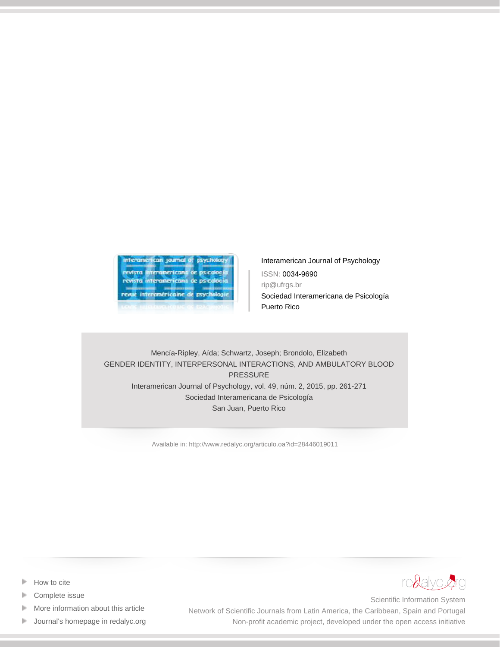

[Interamerican Journal of Psychology](http://www.redalyc.org/revista.oa?id=284) ISSN: 0034-9690 rip@ufrgs.br Sociedad Interamericana de Psicología Puerto Rico

# Mencía-Ripley, Aída; Schwartz, Joseph; Brondolo, Elizabeth GENDER IDENTITY, INTERPERSONAL INTERACTIONS, AND AMBULATORY BLOOD PRESSURE Interamerican Journal of Psychology, vol. 49, núm. 2, 2015, pp. 261-271 Sociedad Interamericana de Psicología San Juan, Puerto Rico

[Available in: http://www.redalyc.org/articulo.oa?id=28446019011](http://www.redalyc.org/articulo.oa?id=28446019011)



- [How to cite](http://www.redalyc.org/comocitar.oa?id=28446019011)
- [Complete issue](http://www.redalyc.org/fasciculo.oa?id=284&numero=46019)
- [More information about this article](http://www.redalyc.org/articulo.oa?id=28446019011) Þ
- [Journal's homepage in redalyc.org](http://www.redalyc.org/revista.oa?id=284)  $\mathbb P$

Scientific Information System Network of Scientific Journals from Latin America, the Caribbean, Spain and Portugal Non-profit academic project, developed under the open access initiative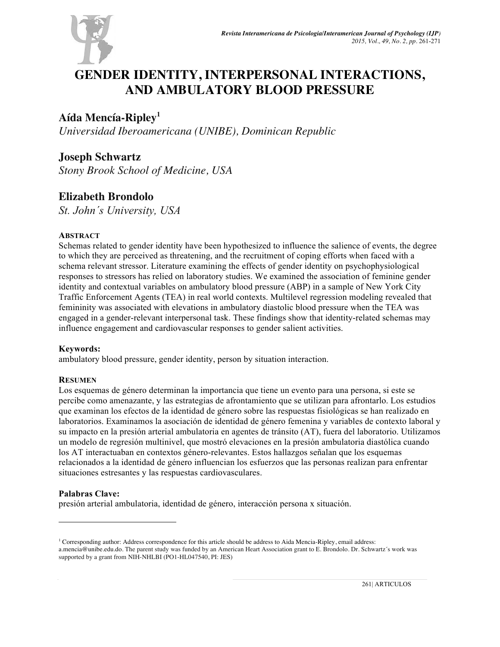

# **GENDER IDENTITY, INTERPERSONAL INTERACTIONS, AND AMBULATORY BLOOD PRESSURE**

# **Aída Mencía-Ripley1**

*Universidad Iberoamericana (UNIBE), Dominican Republic*

# **Joseph Schwartz**

*Stony Brook School of Medicine, USA*

# **Elizabeth Brondolo**

*St. John´s University, USA*

# **ABSTRACT**

Schemas related to gender identity have been hypothesized to influence the salience of events, the degree to which they are perceived as threatening, and the recruitment of coping efforts when faced with a schema relevant stressor. Literature examining the effects of gender identity on psychophysiological responses to stressors has relied on laboratory studies. We examined the association of feminine gender identity and contextual variables on ambulatory blood pressure (ABP) in a sample of New York City Traffic Enforcement Agents (TEA) in real world contexts. Multilevel regression modeling revealed that femininity was associated with elevations in ambulatory diastolic blood pressure when the TEA was engaged in a gender-relevant interpersonal task. These findings show that identity-related schemas may influence engagement and cardiovascular responses to gender salient activities.

# **Keywords:**

ambulatory blood pressure, gender identity, person by situation interaction.

# **RESUMEN**

Los esquemas de género determinan la importancia que tiene un evento para una persona, si este se percibe como amenazante, y las estrategias de afrontamiento que se utilizan para afrontarlo. Los estudios que examinan los efectos de la identidad de género sobre las respuestas fisiológicas se han realizado en laboratorios. Examinamos la asociación de identidad de género femenina y variables de contexto laboral y su impacto en la presión arterial ambulatoria en agentes de tránsito (AT), fuera del laboratorio. Utilizamos un modelo de regresión multinivel, que mostró elevaciones en la presión ambulatoria diastólica cuando los AT interactuaban en contextos género-relevantes. Estos hallazgos señalan que los esquemas relacionados a la identidad de género influencian los esfuerzos que las personas realizan para enfrentar situaciones estresantes y las respuestas cardiovasculares.

# **Palabras Clave:**

presión arterial ambulatoria, identidad de género, interacción persona x situación.

<sup>&</sup>lt;sup>1</sup> Corresponding author: Address correspondence for this article should be address to Aida Mencia-Ripley, email address: a.mencia@unibe.edu.do. The parent study was funded by an American Heart Association grant to E. Brondolo. Dr. Schwartz´s work was supported by a grant from NIH-NHLBI (PO1-HL047540, PI: JES)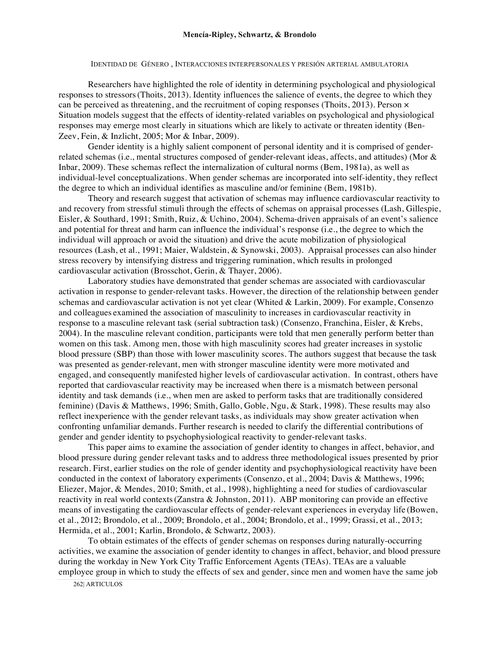#### **Mencía-Ripley, Schwartz, & Brondolo**

IDENTIDAD DE GÉNERO , INTERACCIONES INTERPERSONALES Y PRESIÓN ARTERIAL AMBULATORIA

Researchers have highlighted the role of identity in determining psychological and physiological responses to stressors(Thoits, 2013). Identity influences the salience of events, the degree to which they can be perceived as threatening, and the recruitment of coping responses (Thoits, 2013). Person  $\times$ Situation models suggest that the effects of identity-related variables on psychological and physiological responses may emerge most clearly in situations which are likely to activate or threaten identity (Ben-Zeev, Fein, & Inzlicht, 2005; Mor & Inbar, 2009).

Gender identity is a highly salient component of personal identity and it is comprised of genderrelated schemas (i.e., mental structures composed of gender-relevant ideas, affects, and attitudes) (Mor & Inbar, 2009). These schemas reflect the internalization of cultural norms (Bem, 1981a), as well as individual-level conceptualizations. When gender schemas are incorporated into self-identity, they reflect the degree to which an individual identifies as masculine and/or feminine (Bem, 1981b).

Theory and research suggest that activation of schemas may influence cardiovascular reactivity to and recovery from stressful stimuli through the effects of schemas on appraisal processes (Lash, Gillespie, Eisler, & Southard, 1991; Smith, Ruiz, & Uchino, 2004). Schema-driven appraisals of an event's salience and potential for threat and harm can influence the individual's response (i.e., the degree to which the individual will approach or avoid the situation) and drive the acute mobilization of physiological resources (Lash, et al., 1991; Maier, Waldstein, & Synowski, 2003). Appraisal processes can also hinder stress recovery by intensifying distress and triggering rumination, which results in prolonged cardiovascular activation (Brosschot, Gerin, & Thayer, 2006).

Laboratory studies have demonstrated that gender schemas are associated with cardiovascular activation in response to gender-relevant tasks. However, the direction of the relationship between gender schemas and cardiovascular activation is not yet clear (Whited & Larkin, 2009). For example, Consenzo and colleagues examined the association of masculinity to increases in cardiovascular reactivity in response to a masculine relevant task (serial subtraction task) (Consenzo, Franchina, Eisler, & Krebs, 2004). In the masculine relevant condition, participants were told that men generally perform better than women on this task. Among men, those with high masculinity scores had greater increases in systolic blood pressure (SBP) than those with lower masculinity scores. The authors suggest that because the task was presented as gender-relevant, men with stronger masculine identity were more motivated and engaged, and consequently manifested higher levels of cardiovascular activation. In contrast, others have reported that cardiovascular reactivity may be increased when there is a mismatch between personal identity and task demands (i.e., when men are asked to perform tasks that are traditionally considered feminine) (Davis & Matthews, 1996; Smith, Gallo, Goble, Ngu, & Stark, 1998). These results may also reflect inexperience with the gender relevant tasks, as individuals may show greater activation when confronting unfamiliar demands. Further research is needed to clarify the differential contributions of gender and gender identity to psychophysiological reactivity to gender-relevant tasks.

This paper aims to examine the association of gender identity to changes in affect, behavior, and blood pressure during gender relevant tasks and to address three methodological issues presented by prior research. First, earlier studies on the role of gender identity and psychophysiological reactivity have been conducted in the context of laboratory experiments (Consenzo, et al., 2004; Davis & Matthews, 1996; Eliezer, Major, & Mendes, 2010; Smith, et al., 1998), highlighting a need for studies of cardiovascular reactivity in real world contexts(Zanstra & Johnston, 2011). ABP monitoring can provide an effective means of investigating the cardiovascular effects of gender-relevant experiences in everyday life (Bowen, et al., 2012; Brondolo, et al., 2009; Brondolo, et al., 2004; Brondolo, et al., 1999; Grassi, et al., 2013; Hermida, et al., 2001; Karlin, Brondolo, & Schwartz, 2003).

To obtain estimates of the effects of gender schemas on responses during naturally-occurring activities, we examine the association of gender identity to changes in affect, behavior, and blood pressure during the workday in New York City Traffic Enforcement Agents (TEAs). TEAs are a valuable employee group in which to study the effects of sex and gender, since men and women have the same job

262| ARTICULOS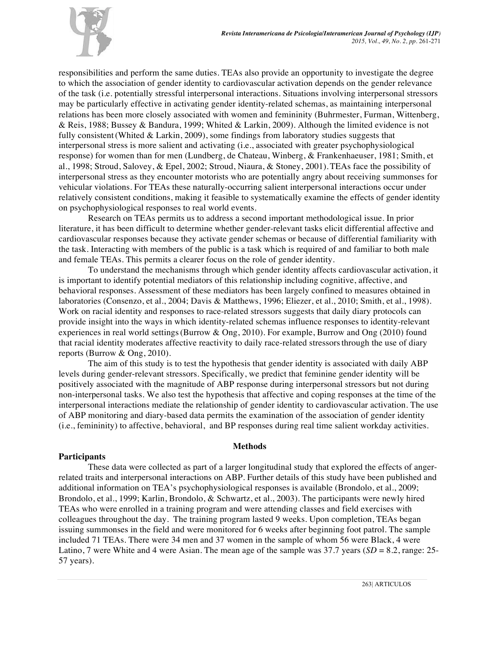

responsibilities and perform the same duties. TEAs also provide an opportunity to investigate the degree to which the association of gender identity to cardiovascular activation depends on the gender relevance of the task (i.e. potentially stressful interpersonal interactions. Situations involving interpersonal stressors may be particularly effective in activating gender identity-related schemas, as maintaining interpersonal relations has been more closely associated with women and femininity (Buhrmester, Furman, Wittenberg, & Reis, 1988; Bussey & Bandura, 1999; Whited & Larkin, 2009). Although the limited evidence is not fully consistent (Whited  $& Larkin, 2009$ ), some findings from laboratory studies suggests that interpersonal stress is more salient and activating (i.e., associated with greater psychophysiological response) for women than for men (Lundberg, de Chateau, Winberg, & Frankenhaeuser, 1981; Smith, et al., 1998; Stroud, Salovey, & Epel, 2002; Stroud, Niaura, & Stoney, 2001). TEAs face the possibility of interpersonal stress as they encounter motorists who are potentially angry about receiving summonses for vehicular violations. For TEAs these naturally-occurring salient interpersonal interactions occur under relatively consistent conditions, making it feasible to systematically examine the effects of gender identity on psychophysiological responses to real world events.

Research on TEAs permits us to address a second important methodological issue. In prior literature, it has been difficult to determine whether gender-relevant tasks elicit differential affective and cardiovascular responses because they activate gender schemas or because of differential familiarity with the task. Interacting with members of the public is a task which is required of and familiar to both male and female TEAs. This permits a clearer focus on the role of gender identity.

To understand the mechanisms through which gender identity affects cardiovascular activation, it is important to identify potential mediators of this relationship including cognitive, affective, and behavioral responses. Assessment of these mediators has been largely confined to measures obtained in laboratories (Consenzo, et al., 2004; Davis & Matthews, 1996; Eliezer, et al., 2010; Smith, et al., 1998). Work on racial identity and responses to race-related stressors suggests that daily diary protocols can provide insight into the ways in which identity-related schemas influence responses to identity-relevant experiences in real world settings(Burrow & Ong, 2010). For example, Burrow and Ong (2010) found that racial identity moderates affective reactivity to daily race-related stressorsthrough the use of diary reports (Burrow & Ong, 2010).

The aim of this study is to test the hypothesis that gender identity is associated with daily ABP levels during gender-relevant stressors. Specifically, we predict that feminine gender identity will be positively associated with the magnitude of ABP response during interpersonal stressors but not during non-interpersonal tasks. We also test the hypothesis that affective and coping responses at the time of the interpersonal interactions mediate the relationship of gender identity to cardiovascular activation. The use of ABP monitoring and diary-based data permits the examination of the association of gender identity (i.e., femininity) to affective, behavioral, and BP responses during real time salient workday activities.

## **Methods**

## **Participants**

These data were collected as part of a larger longitudinal study that explored the effects of angerrelated traits and interpersonal interactions on ABP. Further details of this study have been published and additional information on TEA's psychophysiological responses is available (Brondolo, et al., 2009; Brondolo, et al., 1999; Karlin, Brondolo, & Schwartz, et al., 2003). The participants were newly hired TEAs who were enrolled in a training program and were attending classes and field exercises with colleagues throughout the day. The training program lasted 9 weeks. Upon completion, TEAs began issuing summonses in the field and were monitored for 6 weeks after beginning foot patrol. The sample included 71 TEAs. There were 34 men and 37 women in the sample of whom 56 were Black, 4 were Latino, 7 were White and 4 were Asian. The mean age of the sample was  $37.7$  years  $(SD = 8.2, \text{range})$ :  $25$ -57 years).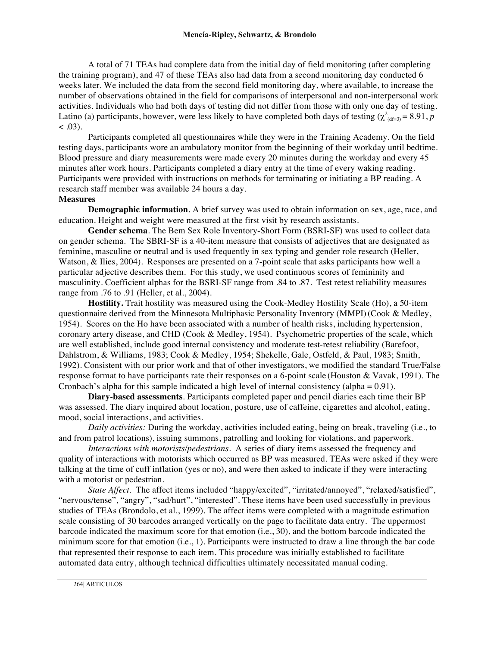A total of 71 TEAs had complete data from the initial day of field monitoring (after completing the training program), and 47 of these TEAs also had data from a second monitoring day conducted 6 weeks later. We included the data from the second field monitoring day, where available, to increase the number of observations obtained in the field for comparisons of interpersonal and non-interpersonal work activities. Individuals who had both days of testing did not differ from those with only one day of testing. Latino (a) participants, however, were less likely to have completed both days of testing ( $\chi^2_{(df=3)} = 8.91$ ,  $p$  $(0.03)$ .

Participants completed all questionnaires while they were in the Training Academy. On the field testing days, participants wore an ambulatory monitor from the beginning of their workday until bedtime. Blood pressure and diary measurements were made every 20 minutes during the workday and every 45 minutes after work hours. Participants completed a diary entry at the time of every waking reading. Participants were provided with instructions on methods for terminating or initiating a BP reading. A research staff member was available 24 hours a day.

## **Measures**

**Demographic information**. A brief survey was used to obtain information on sex, age, race, and education. Height and weight were measured at the first visit by research assistants.

**Gender schema**. The Bem Sex Role Inventory-Short Form (BSRI-SF) was used to collect data on gender schema. The SBRI-SF is a 40-item measure that consists of adjectives that are designated as feminine, masculine or neutral and is used frequently in sex typing and gender role research (Heller, Watson, & Ilies, 2004). Responses are presented on a 7-point scale that asks participants how well a particular adjective describes them. For this study, we used continuous scores of femininity and masculinity. Coefficient alphas for the BSRI-SF range from .84 to .87. Test retest reliability measures range from .76 to .91 (Heller, et al., 2004).

**Hostility.** Trait hostility was measured using the Cook-Medley Hostility Scale (Ho), a 50-item questionnaire derived from the Minnesota Multiphasic Personality Inventory (MMPI)(Cook & Medley, 1954). Scores on the Ho have been associated with a number of health risks, including hypertension, coronary artery disease, and CHD (Cook & Medley, 1954). Psychometric properties of the scale, which are well established, include good internal consistency and moderate test-retest reliability (Barefoot, Dahlstrom, & Williams, 1983; Cook & Medley, 1954; Shekelle, Gale, Ostfeld, & Paul, 1983; Smith, 1992). Consistent with our prior work and that of other investigators, we modified the standard True/False response format to have participants rate their responses on a 6-point scale (Houston & Vavak, 1991). The Cronbach's alpha for this sample indicated a high level of internal consistency (alpha  $= 0.91$ ).

**Diary-based assessments***.* Participants completed paper and pencil diaries each time their BP was assessed. The diary inquired about location, posture, use of caffeine, cigarettes and alcohol, eating, mood, social interactions, and activities.

*Daily activities:* During the workday, activities included eating, being on break, traveling (i.e., to and from patrol locations), issuing summons, patrolling and looking for violations, and paperwork.

*Interactions with motorists/pedestrians.* A series of diary items assessed the frequency and quality of interactions with motorists which occurred as BP was measured. TEAs were asked if they were talking at the time of cuff inflation (yes or no), and were then asked to indicate if they were interacting with a motorist or pedestrian.

*State Affect.* The affect items included "happy/excited", "irritated/annoyed", "relaxed/satisfied", "nervous/tense", "angry", "sad/hurt", "interested". These items have been used successfully in previous studies of TEAs (Brondolo, et al., 1999). The affect items were completed with a magnitude estimation scale consisting of 30 barcodes arranged vertically on the page to facilitate data entry. The uppermost barcode indicated the maximum score for that emotion (i.e., 30), and the bottom barcode indicated the minimum score for that emotion (i.e., 1). Participants were instructed to draw a line through the bar code that represented their response to each item. This procedure was initially established to facilitate automated data entry, although technical difficulties ultimately necessitated manual coding.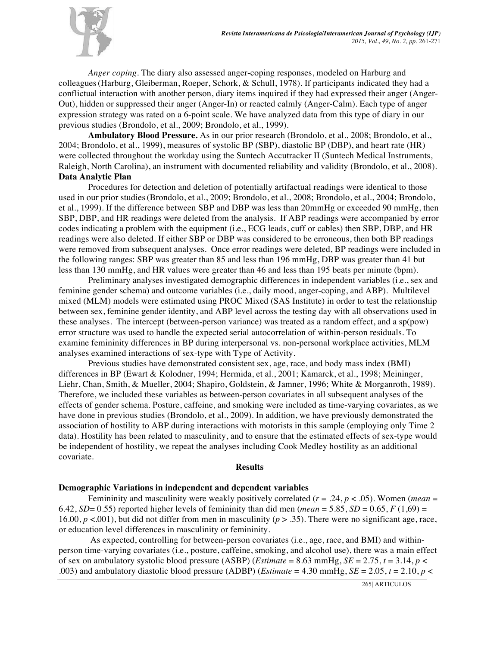

*Anger coping.* The diary also assessed anger-coping responses, modeled on Harburg and colleagues(Harburg, Gleiberman, Roeper, Schork, & Schull, 1978). If participants indicated they had a conflictual interaction with another person, diary items inquired if they had expressed their anger (Anger-Out), hidden or suppressed their anger (Anger-In) or reacted calmly (Anger-Calm). Each type of anger expression strategy was rated on a 6-point scale. We have analyzed data from this type of diary in our previous studies (Brondolo, et al., 2009; Brondolo, et al., 1999).

**Ambulatory Blood Pressure.** As in our prior research (Brondolo, et al., 2008; Brondolo, et al., 2004; Brondolo, et al., 1999), measures of systolic BP (SBP), diastolic BP (DBP), and heart rate (HR) were collected throughout the workday using the Suntech Accutracker II (Suntech Medical Instruments, Raleigh, North Carolina), an instrument with documented reliability and validity (Brondolo, et al., 2008). **Data Analytic Plan**

Procedures for detection and deletion of potentially artifactual readings were identical to those used in our prior studies(Brondolo, et al., 2009; Brondolo, et al., 2008; Brondolo, et al., 2004; Brondolo, et al., 1999). If the difference between SBP and DBP was less than 20mmHg or exceeded 90 mmHg, then SBP, DBP, and HR readings were deleted from the analysis. If ABP readings were accompanied by error codes indicating a problem with the equipment (i.e., ECG leads, cuff or cables) then SBP, DBP, and HR readings were also deleted. If either SBP or DBP was considered to be erroneous, then both BP readings were removed from subsequent analyses. Once error readings were deleted, BP readings were included in the following ranges: SBP was greater than 85 and less than 196 mmHg, DBP was greater than 41 but less than 130 mmHg, and HR values were greater than 46 and less than 195 beats per minute (bpm).

Preliminary analyses investigated demographic differences in independent variables (i.e., sex and feminine gender schema) and outcome variables (i.e., daily mood, anger-coping, and ABP). Multilevel mixed (MLM) models were estimated using PROC Mixed (SAS Institute) in order to test the relationship between sex, feminine gender identity, and ABP level across the testing day with all observations used in these analyses. The intercept (between-person variance) was treated as a random effect, and a sp(pow) error structure was used to handle the expected serial autocorrelation of within-person residuals. To examine femininity differences in BP during interpersonal vs. non-personal workplace activities, MLM analyses examined interactions of sex-type with Type of Activity.

Previous studies have demonstrated consistent sex, age, race, and body mass index (BMI) differences in BP (Ewart & Kolodner, 1994; Hermida, et al., 2001; Kamarck, et al., 1998; Meininger, Liehr, Chan, Smith, & Mueller, 2004; Shapiro, Goldstein, & Jamner, 1996; White & Morganroth, 1989). Therefore, we included these variables as between-person covariates in all subsequent analyses of the effects of gender schema. Posture, caffeine, and smoking were included as time-varying covariates, as we have done in previous studies (Brondolo, et al., 2009). In addition, we have previously demonstrated the association of hostility to ABP during interactions with motorists in this sample (employing only Time 2 data). Hostility has been related to masculinity, and to ensure that the estimated effects of sex-type would be independent of hostility, we repeat the analyses including Cook Medley hostility as an additional covariate.

## **Results**

## **Demographic Variations in independent and dependent variables**

Femininity and masculinity were weakly positively correlated (*r* = .24, *p* < .05). Women (*mean* = 6.42, *SD*= 0.55) reported higher levels of femininity than did men (*mean* = 5.85, *SD* = 0.65, *F* (1,69) = 16.00, *p* <.001), but did not differ from men in masculinity (*p* > .35). There were no significant age, race, or education level differences in masculinity or femininity.

As expected, controlling for between-person covariates (i.e., age, race, and BMI) and withinperson time-varying covariates (i.e., posture, caffeine, smoking, and alcohol use), there was a main effect of sex on ambulatory systolic blood pressure (ASBP) (*Estimate* = 8.63 mmHg,  $SE = 2.75$ ,  $t = 3.14$ ,  $p <$ .003) and ambulatory diastolic blood pressure (ADBP) (*Estimate* = 4.30 mmHg,  $SE = 2.05$ ,  $t = 2.10$ ,  $p <$ 

265| ARTICULOS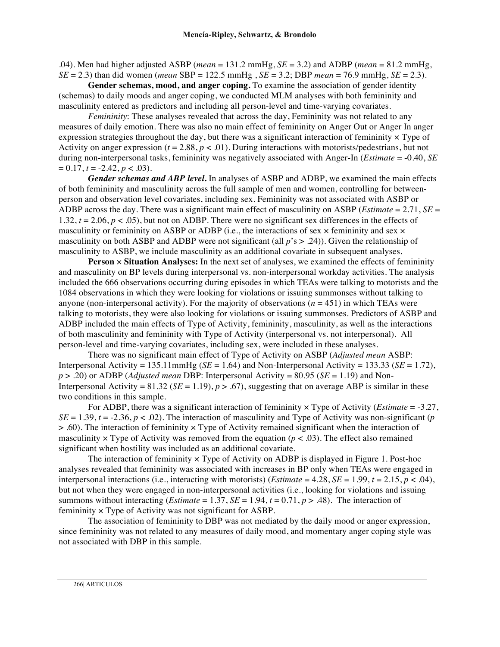.04). Men had higher adjusted ASBP (*mean* = 131.2 mmHg, *SE* = 3.2) and ADBP (*mean* = 81.2 mmHg, *SE* = 2.3) than did women (*mean* SBP = 122.5 mmHg , *SE* = 3.2; DBP *mean* = 76.9 mmHg, *SE* = 2.3).

**Gender schemas, mood, and anger coping.** To examine the association of gender identity (schemas) to daily moods and anger coping, we conducted MLM analyses with both femininity and masculinity entered as predictors and including all person-level and time-varying covariates.

*Femininity*: These analyses revealed that across the day, Femininity was not related to any measures of daily emotion. There was also no main effect of femininity on Anger Out or Anger In anger expression strategies throughout the day, but there was a significant interaction of femininity  $\times$  Type of Activity on anger expression  $(t = 2.88, p < .01)$ . During interactions with motorists/pedestrians, but not during non-interpersonal tasks, femininity was negatively associated with Anger-In (*Estimate* = -0.40, *SE*  $= 0.17$ ,  $t = -2.42$ ,  $p < .03$ ).

*Gender schemas and ABP level***.** In analyses of ASBP and ADBP, we examined the main effects of both femininity and masculinity across the full sample of men and women, controlling for betweenperson and observation level covariates, including sex. Femininity was not associated with ASBP or ADBP across the day. There was a significant main effect of masculinity on ASBP (*Estimate* = 2.71, *SE* = 1.32,  $t = 2.06$ ,  $p < .05$ ), but not on ADBP. There were no significant sex differences in the effects of masculinity or femininity on ASBP or ADBP (i.e., the interactions of sex  $\times$  femininity and sex  $\times$ masculinity on both ASBP and ADBP were not significant (all  $p$ 's  $> .24$ )). Given the relationship of masculinity to ASBP, we include masculinity as an additional covariate in subsequent analyses.

**Person** × **Situation Analyses:** In the next set of analyses, we examined the effects of femininity and masculinity on BP levels during interpersonal vs. non-interpersonal workday activities. The analysis included the 666 observations occurring during episodes in which TEAs were talking to motorists and the 1084 observations in which they were looking for violations or issuing summonses without talking to anyone (non-interpersonal activity). For the majority of observations  $(n = 451)$  in which TEAs were talking to motorists, they were also looking for violations or issuing summonses. Predictors of ASBP and ADBP included the main effects of Type of Activity, femininity, masculinity, as well as the interactions of both masculinity and femininity with Type of Activity (interpersonal vs. not interpersonal). All person-level and time-varying covariates, including sex, were included in these analyses.

There was no significant main effect of Type of Activity on ASBP (*Adjusted mean* ASBP: Interpersonal Activity =  $135.11$ mmHg (*SE* = 1.64) and Non-Interpersonal Activity =  $133.33$  (*SE* =  $1.72$ ), *p* > .20) or ADBP (*Adjusted mean* DBP: Interpersonal Activity = 80.95 (*SE* = 1.19) and Non-Interpersonal Activity =  $81.32$  (*SE* = 1.19), *p* > .67), suggesting that on average ABP is similar in these two conditions in this sample.

For ADBP, there was a significant interaction of femininity × Type of Activity (*Estimate* = -3.27,  $SE = 1.39$ ,  $t = -2.36$ ,  $p < .02$ ). The interaction of masculinity and Type of Activity was non-significant (*p*  $> 0.60$ . The interaction of femininity  $\times$  Type of Activity remained significant when the interaction of masculinity  $\times$  Type of Activity was removed from the equation ( $p < .03$ ). The effect also remained significant when hostility was included as an additional covariate.

The interaction of femininity  $\times$  Type of Activity on ADBP is displayed in Figure 1. Post-hoc analyses revealed that femininity was associated with increases in BP only when TEAs were engaged in interpersonal interactions (i.e., interacting with motorists) (*Estimate* = 4.28,  $SE = 1.99$ ,  $t = 2.15$ ,  $p < .04$ ), but not when they were engaged in non-interpersonal activities (i.e., looking for violations and issuing summons without interacting (*Estimate* = 1.37, *SE* = 1.94,  $t$  = 0.71,  $p$  > .48). The interaction of femininity × Type of Activity was not significant for ASBP.

The association of femininity to DBP was not mediated by the daily mood or anger expression, since femininity was not related to any measures of daily mood, and momentary anger coping style was not associated with DBP in this sample.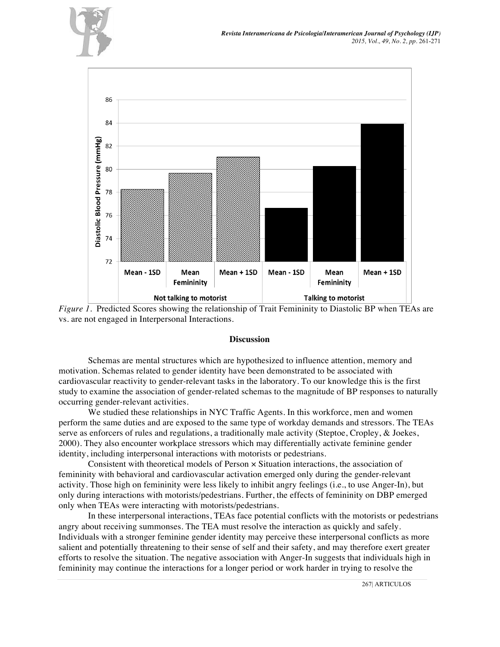



*Figure 1.* Predicted Scores showing the relationship of Trait Femininity to Diastolic BP when TEAs are vs. are not engaged in Interpersonal Interactions.

### **Discussion**

Schemas are mental structures which are hypothesized to influence attention, memory and motivation. Schemas related to gender identity have been demonstrated to be associated with cardiovascular reactivity to gender-relevant tasks in the laboratory. To our knowledge this is the first study to examine the association of gender-related schemas to the magnitude of BP responses to naturally occurring gender-relevant activities.

We studied these relationships in NYC Traffic Agents. In this workforce, men and women perform the same duties and are exposed to the same type of workday demands and stressors. The TEAs serve as enforcers of rules and regulations, a traditionally male activity (Steptoe, Cropley, & Joekes, 2000). They also encounter workplace stressors which may differentially activate feminine gender identity, including interpersonal interactions with motorists or pedestrians.

Consistent with theoretical models of Person × Situation interactions, the association of femininity with behavioral and cardiovascular activation emerged only during the gender-relevant activity. Those high on femininity were less likely to inhibit angry feelings (i.e., to use Anger-In), but only during interactions with motorists/pedestrians. Further, the effects of femininity on DBP emerged only when TEAs were interacting with motorists/pedestrians.

In these interpersonal interactions, TEAs face potential conflicts with the motorists or pedestrians angry about receiving summonses. The TEA must resolve the interaction as quickly and safely. Individuals with a stronger feminine gender identity may perceive these interpersonal conflicts as more salient and potentially threatening to their sense of self and their safety, and may therefore exert greater efforts to resolve the situation. The negative association with Anger-In suggests that individuals high in femininity may continue the interactions for a longer period or work harder in trying to resolve the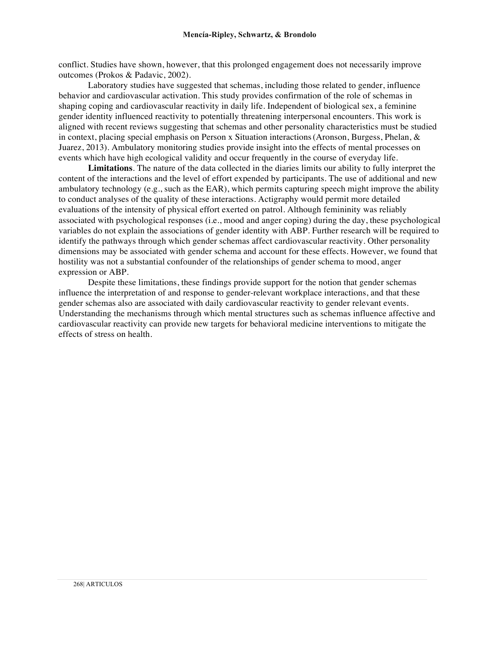conflict. Studies have shown, however, that this prolonged engagement does not necessarily improve outcomes (Prokos & Padavic, 2002).

Laboratory studies have suggested that schemas, including those related to gender, influence behavior and cardiovascular activation. This study provides confirmation of the role of schemas in shaping coping and cardiovascular reactivity in daily life. Independent of biological sex, a feminine gender identity influenced reactivity to potentially threatening interpersonal encounters. This work is aligned with recent reviews suggesting that schemas and other personality characteristics must be studied in context, placing special emphasis on Person x Situation interactions(Aronson, Burgess, Phelan, & Juarez, 2013). Ambulatory monitoring studies provide insight into the effects of mental processes on events which have high ecological validity and occur frequently in the course of everyday life.

**Limitations**. The nature of the data collected in the diaries limits our ability to fully interpret the content of the interactions and the level of effort expended by participants. The use of additional and new ambulatory technology (e.g., such as the EAR), which permits capturing speech might improve the ability to conduct analyses of the quality of these interactions. Actigraphy would permit more detailed evaluations of the intensity of physical effort exerted on patrol. Although femininity was reliably associated with psychological responses (i.e., mood and anger coping) during the day, these psychological variables do not explain the associations of gender identity with ABP. Further research will be required to identify the pathways through which gender schemas affect cardiovascular reactivity. Other personality dimensions may be associated with gender schema and account for these effects. However, we found that hostility was not a substantial confounder of the relationships of gender schema to mood, anger expression or ABP.

Despite these limitations, these findings provide support for the notion that gender schemas influence the interpretation of and response to gender-relevant workplace interactions, and that these gender schemas also are associated with daily cardiovascular reactivity to gender relevant events. Understanding the mechanisms through which mental structures such as schemas influence affective and cardiovascular reactivity can provide new targets for behavioral medicine interventions to mitigate the effects of stress on health.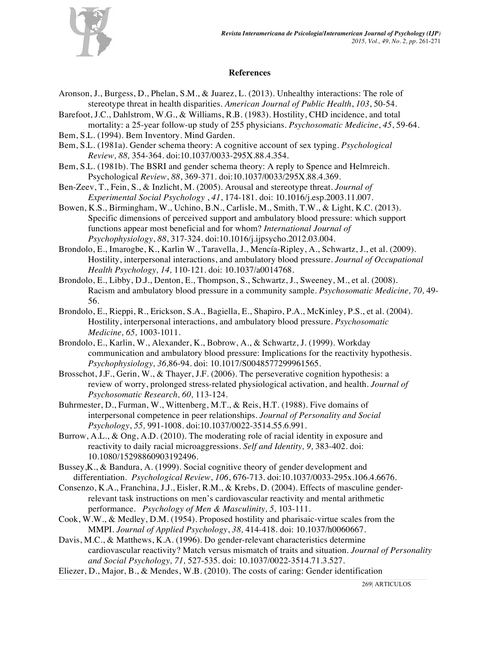

## **References**

- Aronson, J., Burgess, D., Phelan, S.M., & Juarez, L. (2013). Unhealthy interactions: The role of stereotype threat in health disparities. *American Journal of Public Health*, *103*, 50-54.
- Barefoot, J.C., Dahlstrom, W.G., & Williams, R.B. (1983). Hostility, CHD incidence, and total mortality: a 25-year follow-up study of 255 physicians. *Psychosomatic Medicine*, *45*, 59-64.
- Bem, S.L. (1994). Bem Inventory. Mind Garden.
- Bem, S.L. (1981a). Gender schema theory: A cognitive account of sex typing. *Psychological Review, 88,* 354-364. doi:10.1037/0033-295X.88.4.354.
- Bem, S.L. (1981b). The BSRI and gender schema theory: A reply to Spence and Helmreich. Psychological *Review*, *88*, 369-371. doi:10.1037/0033/295X.88.4.369.
- Ben-Zeev, T., Fein, S., & Inzlicht, M. (2005). Arousal and stereotype threat. *Journal of Experimental Social Psychology* , *41*, 174-181. doi: 10.1016/j.esp.2003.11.007.
- Bowen, K.S., Birmingham, W., Uchino, B.N., Carlisle, M., Smith, T.W., & Light, K.C. (2013). Specific dimensions of perceived support and ambulatory blood pressure: which support functions appear most beneficial and for whom? *International Journal of Psychophysiology*, *88*, 317-324. doi:10.1016/j.ijpsycho.2012.03.004.
- Brondolo, E., Imarogbe, K., Karlin W., Taravella, J., Mencía-Ripley, A., Schwartz, J., et al. (2009). Hostility, interpersonal interactions, and ambulatory blood pressure. *Journal of Occupational Health Psychology, 14,* 110-121. doi: 10.1037/a0014768.
- Brondolo, E., Libby, D.J., Denton, E., Thompson, S., Schwartz, J., Sweeney, M., et al. (2008). Racism and ambulatory blood pressure in a community sample. *Psychosomatic Medicine, 70,* 49- 56.
- Brondolo, E., Rieppi, R., Erickson, S.A., Bagiella, E., Shapiro, P.A., McKinley, P.S., et al. (2004). Hostility, interpersonal interactions, and ambulatory blood pressure. *Psychosomatic Medicine, 65,* 1003-1011.
- Brondolo, E., Karlin, W., Alexander, K., Bobrow, A., & Schwartz, J. (1999). Workday communication and ambulatory blood pressure: Implications for the reactivity hypothesis. *Psychophysiology, 36,*86-94. doi: 10.1017/S0048577299961565.
- Brosschot, J.F., Gerin, W., & Thayer, J.F. (2006). The perseverative cognition hypothesis: a review of worry, prolonged stress-related physiological activation, and health. *Journal of Psychosomatic Research, 60,* 113-124.
- Buhrmester, D., Furman, W., Wittenberg, M.T., & Reis, H.T. (1988). Five domains of interpersonal competence in peer relationships. *Journal of Personality and Social Psychology*, *55,* 991-1008. doi:10.1037/0022-3514.55.6.991.
- Burrow, A.L., & Ong, A.D. (2010). The moderating role of racial identity in exposure and reactivity to daily racial microaggressions. *Self and Identity, 9,* 383-402. doi: 10.1080/15298860903192496.
- Bussey,K., & Bandura, A. (1999). Social cognitive theory of gender development and differentiation. *Psychological Review*, *106*, 676-713. doi:10.1037/0033-295x.106.4.6676.
- Consenzo, K.A., Franchina, J.J., Eisler, R.M., & Krebs, D. (2004). Effects of masculine genderrelevant task instructions on men's cardiovascular reactivity and mental arithmetic performance. *Psychology of Men & Masculinity, 5,* 103-111.
- Cook, W.W., & Medley, D.M. (1954). Proposed hostility and pharisaic-virtue scales from the MMPI. *Journal of Applied Psychology*, *38,* 414-418. doi: 10.1037/h0060667.
- Davis, M.C., & Matthews, K.A. (1996). Do gender-relevant characteristics determine cardiovascular reactivity? Match versus mismatch of traits and situation. *Journal of Personality and Social Psychology, 71,* 527-535. doi: 10.1037/0022-3514.71.3.527.
- Eliezer, D., Major, B., & Mendes, W.B. (2010). The costs of caring: Gender identification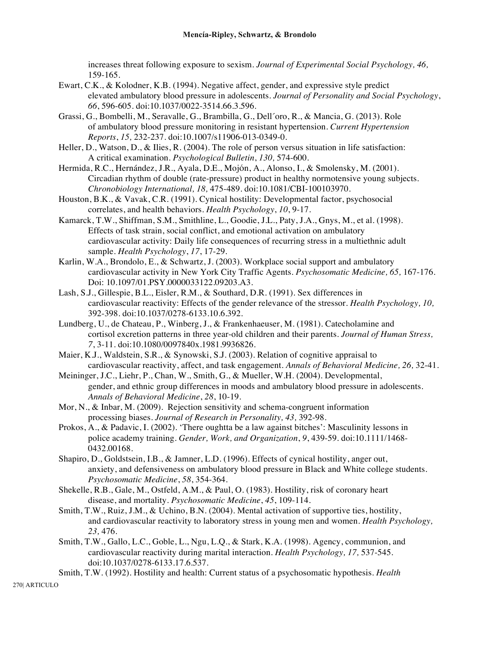increases threat following exposure to sexism. *Journal of Experimental Social Psychology, 46,* 159-165.

- Ewart, C.K., & Kolodner, K.B. (1994). Negative affect, gender, and expressive style predict elevated ambulatory blood pressure in adolescents. *Journal of Personality and Social Psychology*, *66*, 596-605. doi:10.1037/0022-3514.66.3.596.
- Grassi, G., Bombelli, M., Seravalle, G., Brambilla, G., Dell´oro, R., & Mancia, G. (2013). Role of ambulatory blood pressure monitoring in resistant hypertension. *Current Hypertension Reports*, *15,* 232-237. doi:10.1007/s11906-013-0349-0.
- Heller, D., Watson, D., & Ilies, R. (2004). The role of person versus situation in life satisfaction: A critical examination. *Psychological Bulletin*, *130,* 574-600.
- Hermida, R.C., Hernández, J.R., Ayala, D.E., Mojόn, A., Alonso, I., & Smolensky, M. (2001). Circadian rhythm of double (rate-pressure) product in healthy normotensive young subjects. *Chronobiology International, 18,* 475-489. doi:10.1081/CBI-100103970.
- Houston, B.K., & Vavak, C.R. (1991). Cynical hostility: Developmental factor, psychosocial correlates, and health behaviors. *Health Psychology*, *10*, 9-17.
- Kamarck, T.W., Shiffman, S.M., Smithline, L., Goodie, J.L., Paty, J.A., Gnys, M., et al. (1998). Effects of task strain, social conflict, and emotional activation on ambulatory cardiovascular activity: Daily life consequences of recurring stress in a multiethnic adult sample. *Health Psychology*, *17*, 17-29.
- Karlin, W.A., Brondolo, E., & Schwartz, J. (2003). Workplace social support and ambulatory cardiovascular activity in New York City Traffic Agents. *Psychosomatic Medicine, 65,* 167-176. Doi: 10.1097/01.PSY.0000033122.09203.A3.
- Lash, S.J., Gillespie, B.L., Eisler, R.M., & Southard, D.R. (1991). Sex differences in cardiovascular reactivity: Effects of the gender relevance of the stressor. *Health Psychology, 10,* 392-398. doi:10.1037/0278-6133.10.6.392.
- Lundberg, U., de Chateau, P., Winberg, J., & Frankenhaeuser, M. (1981). Catecholamine and cortisol excretion patterns in three year-old children and their parents. *Journal of Human Stress, 7*, 3-11. doi:10.1080/0097840x.1981.9936826.
- Maier, K.J., Waldstein, S.R., & Synowski, S.J. (2003). Relation of cognitive appraisal to cardiovascular reactivity, affect, and task engagement. *Annals of Behavioral Medicine, 26,* 32-41.
- Meininger, J.C., Liehr, P., Chan, W., Smith, G., & Mueller, W.H. (2004). Developmental, gender, and ethnic group differences in moods and ambulatory blood pressure in adolescents. *Annals of Behavioral Medicine*, *28*, 10-19.
- Mor, N., & Inbar, M. (2009). Rejection sensitivity and schema-congruent information processing biases. *Journal of Research in Personality, 43,* 392-98.
- Prokos, A., & Padavic, I. (2002). 'There oughtta be a law against bitches': Masculinity lessons in police academy training. *Gender, Work, and Organization*, *9*, 439-59. doi:10.1111/1468- 0432.00168.
- Shapiro, D., Goldstsein, I.B., & Jamner, L.D. (1996). Effects of cynical hostility, anger out, anxiety, and defensiveness on ambulatory blood pressure in Black and White college students. *Psychosomatic Medicine*, *58*, 354-364.
- Shekelle, R.B., Gale, M., Ostfeld, A.M., & Paul, O. (1983). Hostility, risk of coronary heart disease, and mortality. *Psychosomatic Medicine*, *45*, 109-114.
- Smith, T.W., Ruiz, J.M., & Uchino, B.N. (2004). Mental activation of supportive ties, hostility, and cardiovascular reactivity to laboratory stress in young men and women. *Health Psychology, 23,* 476.
- Smith, T.W., Gallo, L.C., Goble, L., Ngu, L.Q., & Stark, K.A. (1998). Agency, communion, and cardiovascular reactivity during marital interaction. *Health Psychology, 17,* 537-545. doi:10.1037/0278-6133.17.6.537.
- Smith, T.W. (1992). Hostility and health: Current status of a psychosomatic hypothesis. *Health*

270| ARTICULO